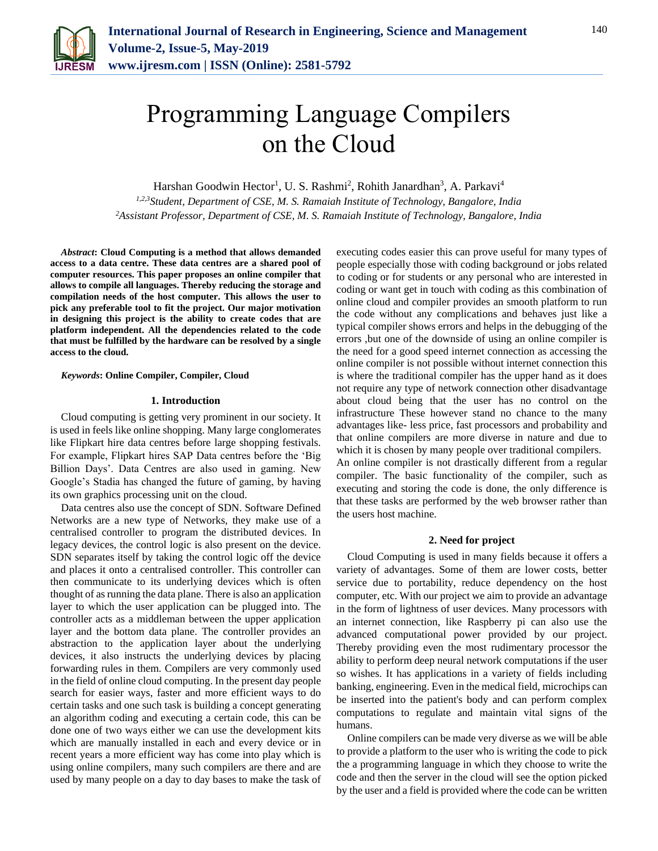

# Programming Language Compilers on the Cloud

Harshan Goodwin Hector<sup>1</sup>, U. S. Rashmi<sup>2</sup>, Rohith Janardhan<sup>3</sup>, A. Parkavi<sup>4</sup>

*1,2,3Student, Department of CSE, M. S. Ramaiah Institute of Technology, Bangalore, India 2Assistant Professor, Department of CSE, M. S. Ramaiah Institute of Technology, Bangalore, India*

*Abstract***: Cloud Computing is a method that allows demanded access to a data centre. These data centres are a shared pool of computer resources. This paper proposes an online compiler that allows to compile all languages. Thereby reducing the storage and compilation needs of the host computer. This allows the user to pick any preferable tool to fit the project. Our major motivation in designing this project is the ability to create codes that are platform independent. All the dependencies related to the code that must be fulfilled by the hardware can be resolved by a single access to the cloud.** 

### *Keywords***: Online Compiler, Compiler, Cloud**

## **1. Introduction**

Cloud computing is getting very prominent in our society. It is used in feels like online shopping. Many large conglomerates like Flipkart hire data centres before large shopping festivals. For example, Flipkart hires SAP Data centres before the 'Big Billion Days'. Data Centres are also used in gaming. New Google's Stadia has changed the future of gaming, by having its own graphics processing unit on the cloud.

Data centres also use the concept of SDN. Software Defined Networks are a new type of Networks, they make use of a centralised controller to program the distributed devices. In legacy devices, the control logic is also present on the device. SDN separates itself by taking the control logic off the device and places it onto a centralised controller. This controller can then communicate to its underlying devices which is often thought of as running the data plane. There is also an application layer to which the user application can be plugged into. The controller acts as a middleman between the upper application layer and the bottom data plane. The controller provides an abstraction to the application layer about the underlying devices, it also instructs the underlying devices by placing forwarding rules in them. Compilers are very commonly used in the field of online cloud computing. In the present day people search for easier ways, faster and more efficient ways to do certain tasks and one such task is building a concept generating an algorithm coding and executing a certain code, this can be done one of two ways either we can use the development kits which are manually installed in each and every device or in recent years a more efficient way has come into play which is using online compilers, many such compilers are there and are used by many people on a day to day bases to make the task of executing codes easier this can prove useful for many types of people especially those with coding background or jobs related to coding or for students or any personal who are interested in coding or want get in touch with coding as this combination of online cloud and compiler provides an smooth platform to run the code without any complications and behaves just like a typical compiler shows errors and helps in the debugging of the errors ,but one of the downside of using an online compiler is the need for a good speed internet connection as accessing the online compiler is not possible without internet connection this is where the traditional compiler has the upper hand as it does not require any type of network connection other disadvantage about cloud being that the user has no control on the infrastructure These however stand no chance to the many advantages like- less price, fast processors and probability and that online compilers are more diverse in nature and due to which it is chosen by many people over traditional compilers. An online compiler is not drastically different from a regular compiler. The basic functionality of the compiler, such as executing and storing the code is done, the only difference is that these tasks are performed by the web browser rather than the users host machine.

#### **2. Need for project**

Cloud Computing is used in many fields because it offers a variety of advantages. Some of them are lower costs, better service due to portability, reduce dependency on the host computer, etc. With our project we aim to provide an advantage in the form of lightness of user devices. Many processors with an internet connection, like Raspberry pi can also use the advanced computational power provided by our project. Thereby providing even the most rudimentary processor the ability to perform deep neural network computations if the user so wishes. It has applications in a variety of fields including banking, engineering. Even in the medical field, microchips can be inserted into the patient's body and can perform complex computations to regulate and maintain vital signs of the humans.

Online compilers can be made very diverse as we will be able to provide a platform to the user who is writing the code to pick the a programming language in which they choose to write the code and then the server in the cloud will see the option picked by the user and a field is provided where the code can be written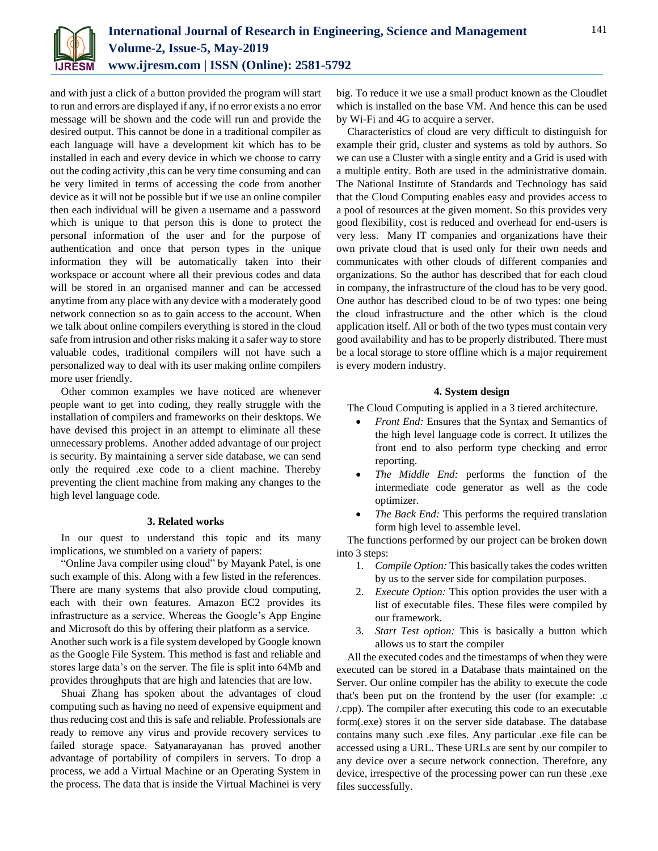

and with just a click of a button provided the program will start to run and errors are displayed if any, if no error exists a no error message will be shown and the code will run and provide the desired output. This cannot be done in a traditional compiler as each language will have a development kit which has to be installed in each and every device in which we choose to carry out the coding activity ,this can be very time consuming and can be very limited in terms of accessing the code from another device as it will not be possible but if we use an online compiler then each individual will be given a username and a password which is unique to that person this is done to protect the personal information of the user and for the purpose of authentication and once that person types in the unique information they will be automatically taken into their workspace or account where all their previous codes and data will be stored in an organised manner and can be accessed anytime from any place with any device with a moderately good network connection so as to gain access to the account. When we talk about online compilers everything is stored in the cloud safe from intrusion and other risks making it a safer way to store valuable codes, traditional compilers will not have such a personalized way to deal with its user making online compilers more user friendly.

Other common examples we have noticed are whenever people want to get into coding, they really struggle with the installation of compilers and frameworks on their desktops. We have devised this project in an attempt to eliminate all these unnecessary problems. Another added advantage of our project is security. By maintaining a server side database, we can send only the required .exe code to a client machine. Thereby preventing the client machine from making any changes to the high level language code.

## **3. Related works**

In our quest to understand this topic and its many implications, we stumbled on a variety of papers:

"Online Java compiler using cloud" by Mayank Patel, is one such example of this. Along with a few listed in the references. There are many systems that also provide cloud computing, each with their own features. Amazon EC2 provides its infrastructure as a service. Whereas the Google's App Engine and Microsoft do this by offering their platform as a service. Another such work is a file system developed by Google known as the Google File System. This method is fast and reliable and stores large data's on the server. The file is split into 64Mb and provides throughputs that are high and latencies that are low.

Shuai Zhang has spoken about the advantages of cloud computing such as having no need of expensive equipment and thus reducing cost and this is safe and reliable. Professionals are ready to remove any virus and provide recovery services to failed storage space. Satyanarayanan has proved another advantage of portability of compilers in servers. To drop a process, we add a Virtual Machine or an Operating System in the process. The data that is inside the Virtual Machinei is very

big. To reduce it we use a small product known as the Cloudlet which is installed on the base VM. And hence this can be used by Wi-Fi and 4G to acquire a server.

Characteristics of cloud are very difficult to distinguish for example their grid, cluster and systems as told by authors. So we can use a Cluster with a single entity and a Grid is used with a multiple entity. Both are used in the administrative domain. The National Institute of Standards and Technology has said that the Cloud Computing enables easy and provides access to a pool of resources at the given moment. So this provides very good flexibility, cost is reduced and overhead for end-users is very less. Many IT companies and organizations have their own private cloud that is used only for their own needs and communicates with other clouds of different companies and organizations. So the author has described that for each cloud in company, the infrastructure of the cloud has to be very good. One author has described cloud to be of two types: one being the cloud infrastructure and the other which is the cloud application itself. All or both of the two types must contain very good availability and has to be properly distributed. There must be a local storage to store offline which is a major requirement is every modern industry.

# **4. System design**

The Cloud Computing is applied in a 3 tiered architecture.

- *Front End:* Ensures that the Syntax and Semantics of the high level language code is correct. It utilizes the front end to also perform type checking and error reporting.
- *The Middle End:* performs the function of the intermediate code generator as well as the code optimizer.
- *The Back End:* This performs the required translation form high level to assemble level.

The functions performed by our project can be broken down into 3 steps:

- 1. *Compile Option:* This basically takes the codes written by us to the server side for compilation purposes.
- 2. *Execute Option:* This option provides the user with a list of executable files. These files were compiled by our framework.
- 3. *Start Test option:* This is basically a button which allows us to start the compiler

All the executed codes and the timestamps of when they were executed can be stored in a Database thats maintained on the Server. Our online compiler has the ability to execute the code that's been put on the frontend by the user (for example: .c /.cpp). The compiler after executing this code to an executable form(.exe) stores it on the server side database. The database contains many such .exe files. Any particular .exe file can be accessed using a URL. These URLs are sent by our compiler to any device over a secure network connection. Therefore, any device, irrespective of the processing power can run these .exe files successfully.